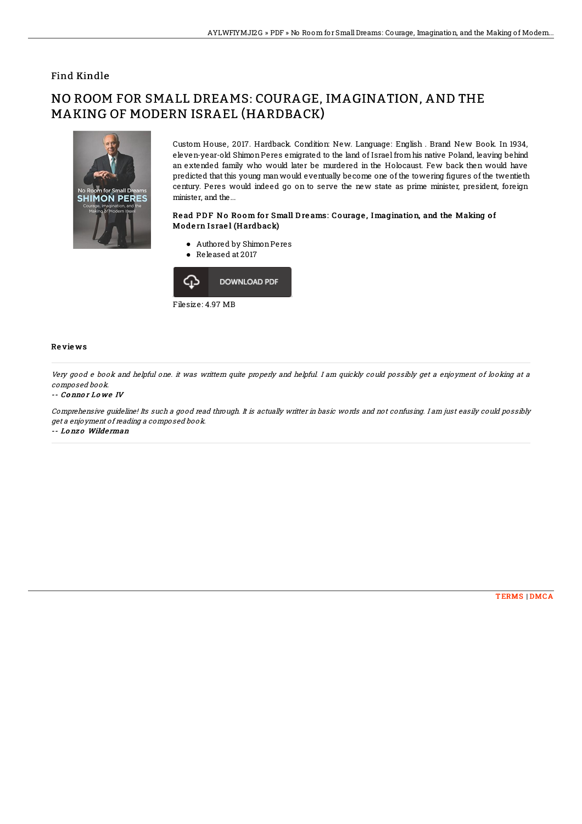## Find Kindle

# NO ROOM FOR SMALL DREAMS: COURAGE, IMAGINATION, AND THE MAKING OF MODERN ISRAEL (HARDBACK)



Custom House, 2017. Hardback. Condition: New. Language: English . Brand New Book. In 1934, eleven-year-old Shimon Peres emigrated to the land of Israel from his native Poland, leaving behind an extended family who would later be murdered in the Holocaust. Few back then would have predicted that this young man would eventually become one of the towering figures of the twentieth century. Peres would indeed go on to serve the new state as prime minister, president, foreign minister, and the...

### Read PDF No Room for Small Dreams: Courage, Imagination, and the Making of Modern Israel (Hardback)

- Authored by ShimonPeres
- Released at 2017



#### Re vie ws

Very good <sup>e</sup> book and helpful one. it was writtern quite properly and helpful. I am quickly could possibly get <sup>a</sup> enjoyment of looking at <sup>a</sup> composed book.

#### -- Co nno r Lo we IV

Comprehensive guideline! Its such <sup>a</sup> good read through. It is actually writter in basic words and not confusing. I am just easily could possibly get <sup>a</sup> enjoyment of reading <sup>a</sup> composed book. -- Lo nz o Wilde rman